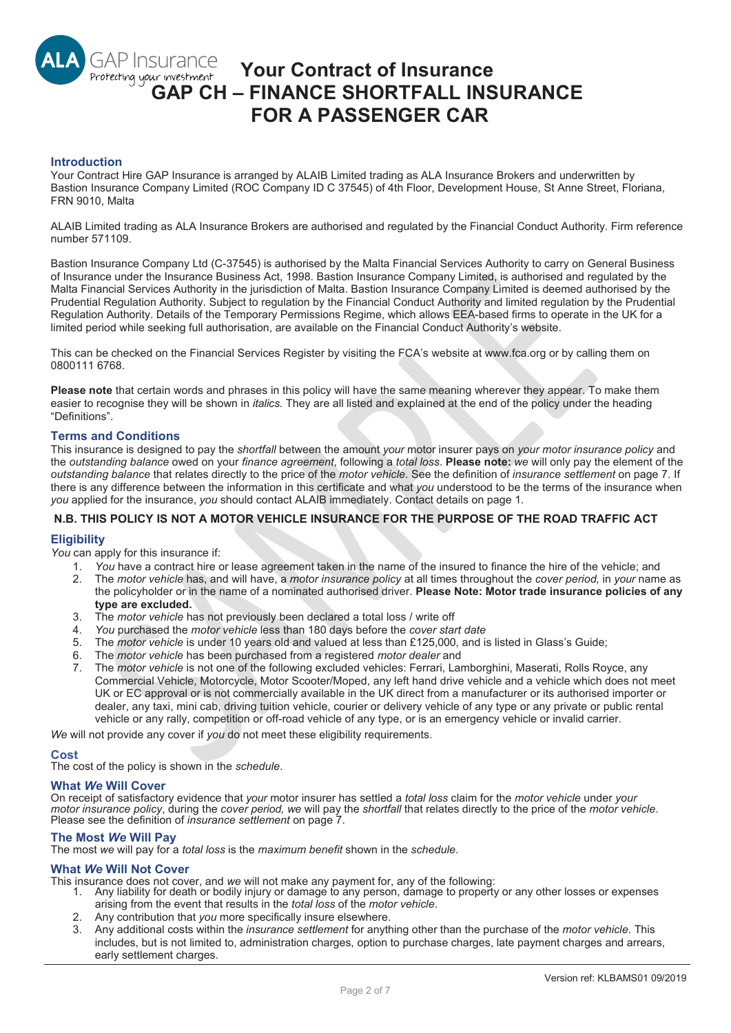# **GAP Insurance Your Contract of Insurance**  Protecting your investment **GAP CH – FINANCE SHORTFALL INSURANCE FOR A PASSENGER CAR**

### **Introduction**

Your Contract Hire GAP Insurance is arranged by ALAIB Limited trading as ALA Insurance Brokers and underwritten by Bastion Insurance Company Limited (ROC Company ID C 37545) of 4th Floor, Development House, St Anne Street, Floriana, FRN 9010, Malta

ALAIB Limited trading as ALA Insurance Brokers are authorised and regulated by the Financial Conduct Authority. Firm reference number 571109.

Bastion Insurance Company Ltd (C-37545) is authorised by the Malta Financial Services Authority to carry on General Business of Insurance under the Insurance Business Act, 1998. Bastion Insurance Company Limited, is authorised and requlated by the Malta Financial Services Authority in the jurisdiction of Malta. Bastion Insurance Company Limited is deemed authorised by the Prudential Regulation Authority. Subject to regulation by the Financial Conduct Authority and limited regulation by the Prudential Regulation Authority. Details of the Temporary Permissions Regime, which allows EEA-based firms to operate in the UK for a limited period while seeking full authorisation, are available on the Financial Conduct Authority's website.

This can be checked on the Financial Services Register by visiting the FCA's website at www.fca.org or by calling them on 0800111 6768.

**Please note** that certain words and phrases in this policy will have the same meaning wherever they appear. To make them easier to recognise they will be shown in *italics.* They are all listed and explained at the end of the policy under the heading "Definitions".

### **Terms and Conditions**

This insurance is designed to pay the *shortfall* between the amount *your* motor insurer pays on *your motor insurance policy* and the *outstanding balance* owed on your *finance agreement*, following a *total loss*. **Please note:** *we* will only pay the element of the *outstanding balance* that relates directly to the price of the *motor vehicle*. See the definition of *insurance settlement* on page 7. If there is any difference between the information in this certificate and what *you* understood to be the terms of the insurance when *you* applied for the insurance, *you* should contact ALAIB immediately. Contact details on page 1.

## **N.B. THIS POLICY IS NOT A MOTOR VEHICLE INSURANCE FOR THE PURPOSE OF THE ROAD TRAFFIC ACT**

#### **Eligibility**

*You* can apply for this insurance if:

- *You* have a contract hire or lease agreement taken in the name of the insured to finance the hire of the vehicle; and
- The *motor vehicle* has, and will have, a *motor insurance policy* at all times throughout the *cover period,* in *your* name as the policyholder or in the name of a nominated authorised driver. **Please Note: Motor trade insurance policies of any type are excluded.**
- 3. The *motor vehicle* has not previously been declared a total loss / write off
- *You* purchased the *motor vehicle* less than 180 days before the *cover start date*
- 5. The *motor vehicle* is under 10 years old and valued at less than £125,000, and is listed in Glass's Guide;
- The *motor vehicle* has been purchased from a registered *motor dealer* and
- The *motor vehicle* is not one of the following excluded vehicles: Ferrari, Lamborghini, Maserati, Rolls Royce, any Commercial Vehicle, Motorcycle, Motor Scooter/Moped, any left hand drive vehicle and a vehicle which does not meet UK or EC approval or is not commercially available in the UK direct from a manufacturer or its authorised importer or dealer, any taxi, mini cab, driving tuition vehicle, courier or delivery vehicle of any type or any private or public rental vehicle or any rally, competition or off-road vehicle of any type, or is an emergency vehicle or invalid carrier.

*We* will not provide any cover if *you* do not meet these eligibility requirements.

#### **Cost**

The cost of the policy is shown in the *schedule*.

#### **What** *We* **Will Cover**

On receipt of satisfactory evidence that *your* motor insurer has settled a *total loss* claim for the *motor vehicle* under *your motor insurance policy*, during the *cover period, we* will pay the *shortfall* that relates directly to the price of the *motor vehicle*. Please see the definition of *insurance settlement* on page 7.

### **The Most** *We* **Will Pay**

The most *we* will pay for a *total loss* is the *maximum benefit* shown in the *schedule*.

### **What** *We* **Will Not Cover**

This insurance does not cover, and *we* will not make any payment for, any of the following:

- 1. Any liability for death or bodily injury or damage to any person, damage to property or any other losses or expenses arising from the event that results in the *total loss* of the *motor vehicle*.
- 2. Any contribution that *you* more specifically insure elsewhere.
- 3. Any additional costs within the *insurance settlement* for anything other than the purchase of the *motor vehicle*. This includes, but is not limited to, administration charges, option to purchase charges, late payment charges and arrears, early settlement charges.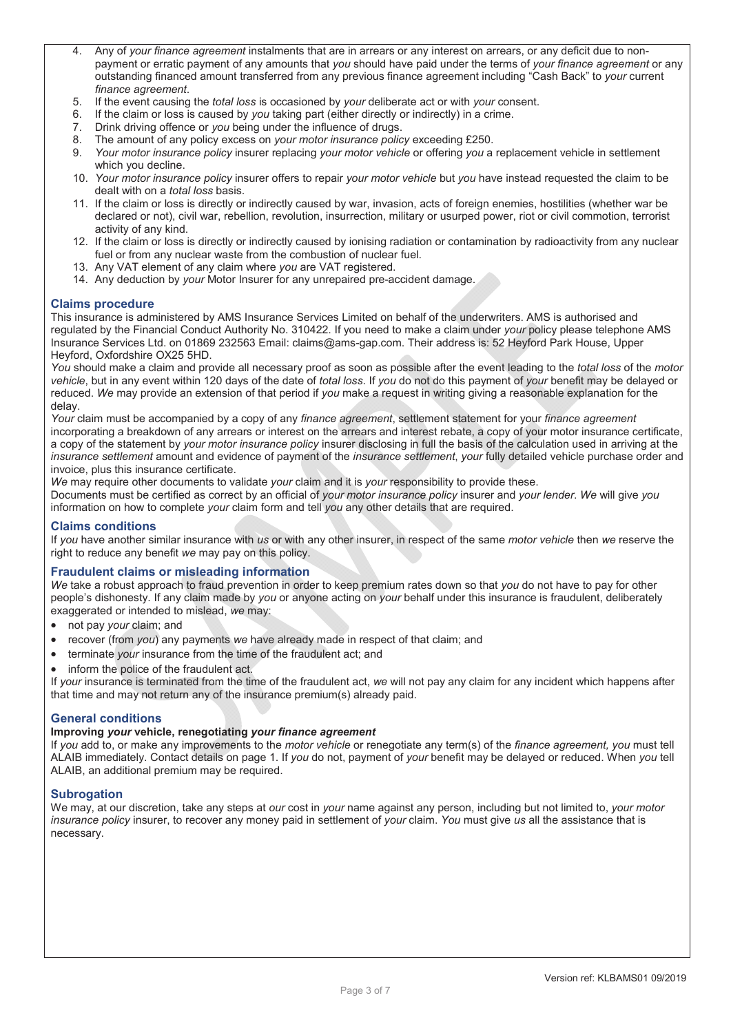- 4. Any of *your finance agreement* instalments that are in arrears or any interest on arrears, or any deficit due to nonpayment or erratic payment of any amounts that *you* should have paid under the terms of *your finance agreement* or any outstanding financed amount transferred from any previous finance agreement including "Cash Back" to *your* current *finance agreement*.
- 5. If the event causing the *total loss* is occasioned by *your* deliberate act or with *your* consent.
- 6. If the claim or loss is caused by *you* taking part (either directly or indirectly) in a crime.
- 7. Drink driving offence or *you* being under the influence of drugs.
- 8. The amount of any policy excess on *your motor insurance policy* exceeding £250.
- 9. *Your motor insurance policy* insurer replacing *your motor vehicle* or offering *you* a replacement vehicle in settlement which you decline.
- 10. *Your motor insurance policy* insurer offers to repair *your motor vehicle* but *you* have instead requested the claim to be dealt with on a *total loss* basis.
- 11. If the claim or loss is directly or indirectly caused by war, invasion, acts of foreign enemies, hostilities (whether war be declared or not), civil war, rebellion, revolution, insurrection, military or usurped power, riot or civil commotion, terrorist activity of any kind.
- 12. If the claim or loss is directly or indirectly caused by ionising radiation or contamination by radioactivity from any nuclear fuel or from any nuclear waste from the combustion of nuclear fuel.
- 13. Any VAT element of any claim where *you* are VAT registered.
- 14. Any deduction by *your* Motor Insurer for any unrepaired pre-accident damage.

## **Claims procedure**

This insurance is administered by AMS Insurance Services Limited on behalf of the underwriters. AMS is authorised and regulated by the Financial Conduct Authority No. 310422. If you need to make a claim under *your* policy please telephone AMS Insurance Services Ltd. on 01869 232563 Email: claims@ams-gap.com. Their address is: 52 Heyford Park House, Upper Heyford, Oxfordshire OX25 5HD.

*You* should make a claim and provide all necessary proof as soon as possible after the event leading to the *total loss* of the *motor vehicle*, but in any event within 120 days of the date of *total loss*. If *you* do not do this payment of *your* benefit may be delayed or reduced. *We* may provide an extension of that period if *you* make a request in writing giving a reasonable explanation for the delay.

*Your* claim must be accompanied by a copy of any *finance agreement*, settlement statement for your *finance agreement* incorporating a breakdown of any arrears or interest on the arrears and interest rebate, a copy of your motor insurance certificate, a copy of the statement by *your motor insurance policy* insurer disclosing in full the basis of the calculation used in arriving at the *insurance settlement* amount and evidence of payment of the *insurance settlement*, *your* fully detailed vehicle purchase order and invoice, plus this insurance certificate.

*We* may require other documents to validate *your* claim and it is *your* responsibility to provide these.

Documents must be certified as correct by an official of *your motor insurance policy* insurer and *your lender*. *We* will give *you* information on how to complete *your* claim form and tell *you* any other details that are required.

## **Claims conditions**

If *you* have another similar insurance with *us* or with any other insurer, in respect of the same *motor vehicle* then *we* reserve the right to reduce any benefit *we* may pay on this policy.

## **Fraudulent claims or misleading information**

*We* take a robust approach to fraud prevention in order to keep premium rates down so that *you* do not have to pay for other people's dishonesty. If any claim made by *you* or anyone acting on *your* behalf under this insurance is fraudulent, deliberately exaggerated or intended to mislead, *we* may:

- not pay *your* claim; and
- recover (from *you*) any payments we have already made in respect of that claim; and
- terminate *your* insurance from the time of the fraudulent act; and
- inform the police of the fraudulent act.

If *your* insurance is terminated from the time of the fraudulent act, *we* will not pay any claim for any incident which happens after that time and may not return any of the insurance premium(s) already paid.

## **General conditions**

### **Improving** *your* **vehicle, renegotiating** *your finance agreement*

If *you* add to, or make any improvements to the *motor vehicle* or renegotiate any term(s) of the *finance agreement, you* must tell ALAIB immediately. Contact details on page 1. If *you* do not, payment of *your* benefit may be delayed or reduced. When *you* tell ALAIB, an additional premium may be required.

## **Subrogation**

We may, at our discretion, take any steps at *our* cost in *your* name against any person, including but not limited to, *your motor insurance policy* insurer, to recover any money paid in settlement of *your* claim. *You* must give *us* all the assistance that is necessary.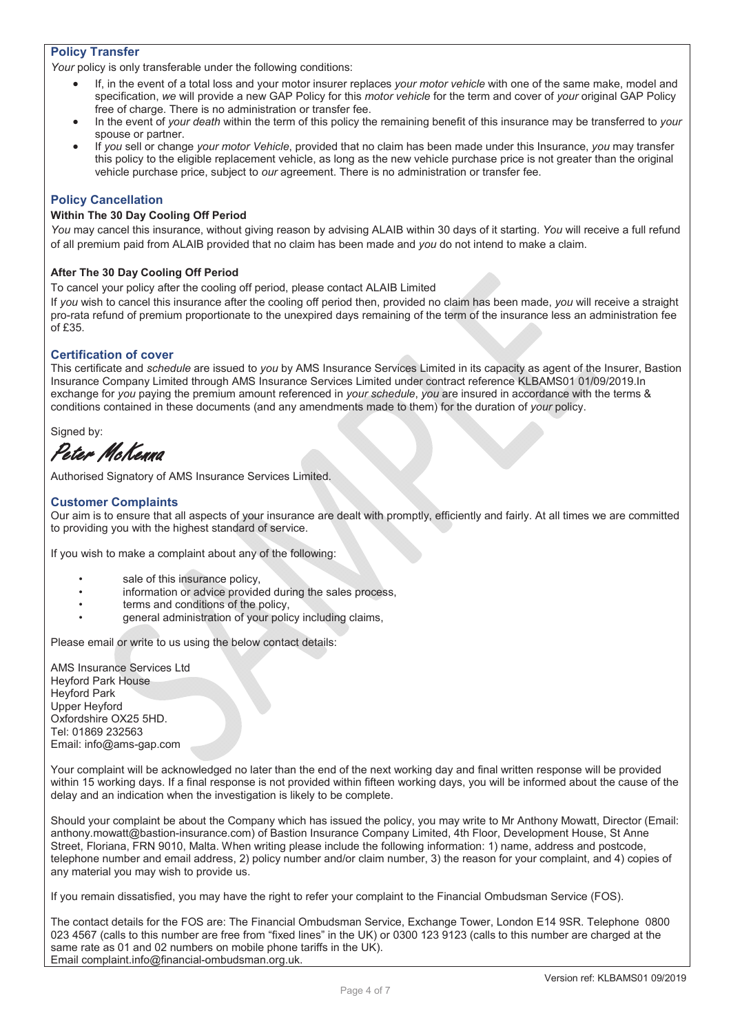## **Policy Transfer**

*Your* policy is only transferable under the following conditions:

- x If, in the event of a total loss and your motor insurer replaces *your motor vehicle* with one of the same make, model and specification, *we* will provide a new GAP Policy for this *motor vehicle* for the term and cover of *your* original GAP Policy free of charge. There is no administration or transfer fee.
- x In the event of *your death* within the term of this policy the remaining benefit of this insurance may be transferred to *your*  spouse or partner.
- x If *you* sell or change *your motor Vehicle*, provided that no claim has been made under this Insurance, *you* may transfer this policy to the eligible replacement vehicle, as long as the new vehicle purchase price is not greater than the original vehicle purchase price, subject to *our* agreement. There is no administration or transfer fee.

## **Policy Cancellation**

## **Within The 30 Day Cooling Off Period**

*You* may cancel this insurance, without giving reason by advising ALAIB within 30 days of it starting. *You* will receive a full refund of all premium paid from ALAIB provided that no claim has been made and *you* do not intend to make a claim.

## **After The 30 Day Cooling Off Period**

To cancel your policy after the cooling off period, please contact ALAIB Limited

If *you* wish to cancel this insurance after the cooling off period then, provided no claim has been made, *you* will receive a straight pro-rata refund of premium proportionate to the unexpired days remaining of the term of the insurance less an administration fee of £35.

## **Certification of cover**

This certificate and *schedule* are issued to *you* by AMS Insurance Services Limited in its capacity as agent of the Insurer, Bastion Insurance Company Limited through AMS Insurance Services Limited under contract reference KLBAMS01 01/09/2019.In exchange for *you* paying the premium amount referenced in *your schedule*, *you* are insured in accordance with the terms & conditions contained in these documents (and any amendments made to them) for the duration of *your* policy.

Signed by:

Peter McKenna

Authorised Signatory of AMS Insurance Services Limited.

## **Customer Complaints**

Our aim is to ensure that all aspects of your insurance are dealt with promptly, efficiently and fairly. At all times we are committed to providing you with the highest standard of service.

If you wish to make a complaint about any of the following:

- sale of this insurance policy,
- information or advice provided during the sales process,
- terms and conditions of the policy,
- general administration of your policy including claims,

Please email or write to us using the below contact details:

AMS Insurance Services Ltd Heyford Park House Heyford Park Upper Heyford Oxfordshire OX25 5HD. Tel: 01869 232563 Email: info@ams-gap.com

Your complaint will be acknowledged no later than the end of the next working day and final written response will be provided within 15 working days. If a final response is not provided within fifteen working days, you will be informed about the cause of the delay and an indication when the investigation is likely to be complete.

Should your complaint be about the Company which has issued the policy, you may write to Mr Anthony Mowatt, Director (Email: anthony.mowatt@bastion-insurance.com) of Bastion Insurance Company Limited, 4th Floor, Development House, St Anne Street, Floriana, FRN 9010, Malta. When writing please include the following information: 1) name, address and postcode, telephone number and email address, 2) policy number and/or claim number, 3) the reason for your complaint, and 4) copies of any material you may wish to provide us.

If you remain dissatisfied, you may have the right to refer your complaint to the Financial Ombudsman Service (FOS).

The contact details for the FOS are: The Financial Ombudsman Service, Exchange Tower, London E14 9SR. Telephone 0800 023 4567 (calls to this number are free from "fixed lines" in the UK) or 0300 123 9123 (calls to this number are charged at the same rate as 01 and 02 numbers on mobile phone tariffs in the UK). Email complaint.info@financial-ombudsman.org.uk.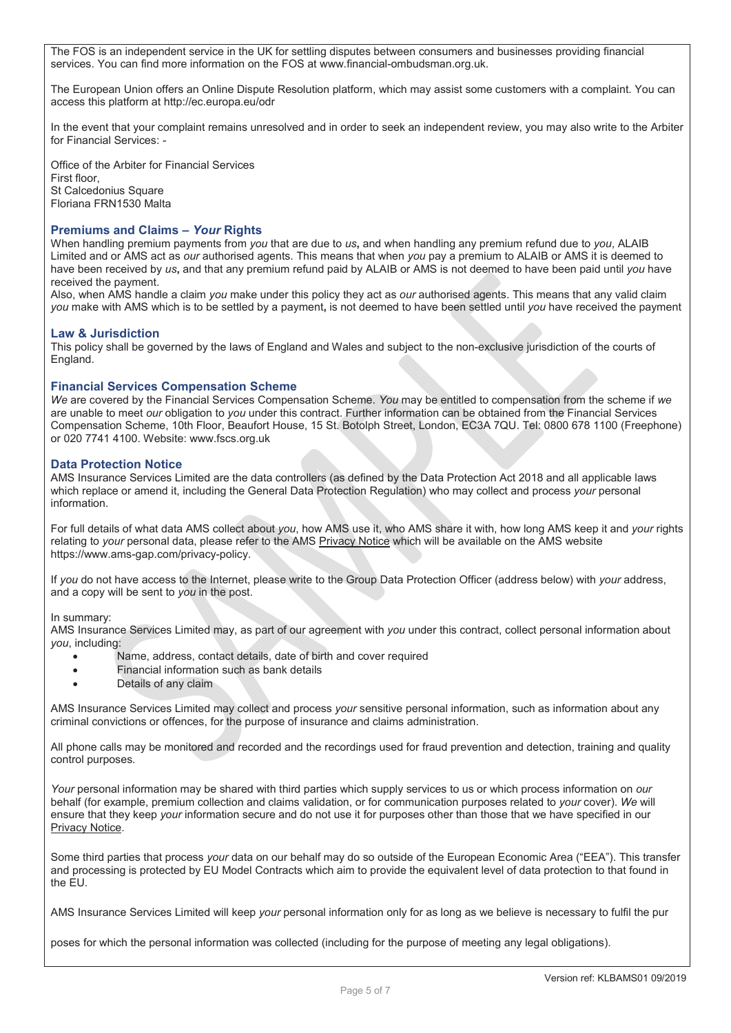The FOS is an independent service in the UK for settling disputes between consumers and businesses providing financial services. You can find more information on the FOS at www.financial-ombudsman.org.uk.

The European Union offers an Online Dispute Resolution platform, which may assist some customers with a complaint. You can access this platform at http://ec.europa.eu/odr

In the event that your complaint remains unresolved and in order to seek an independent review, you may also write to the Arbiter for Financial Services: -

Office of the Arbiter for Financial Services First floor, St Calcedonius Square Floriana FRN1530 Malta

## **Premiums and Claims –** *Your* **Rights**

When handling premium payments from *you* that are due to *us***,** and when handling any premium refund due to *you*, ALAIB Limited and or AMS act as *our* authorised agents. This means that when *you* pay a premium to ALAIB or AMS it is deemed to have been received by *us***,** and that any premium refund paid by ALAIB or AMS is not deemed to have been paid until *you* have received the payment.

Also, when AMS handle a claim *you* make under this policy they act as *our* authorised agents. This means that any valid claim *you* make with AMS which is to be settled by a payment**,** is not deemed to have been settled until *you* have received the payment

## **Law & Jurisdiction**

This policy shall be governed by the laws of England and Wales and subject to the non-exclusive jurisdiction of the courts of England.

### **Financial Services Compensation Scheme**

*We* are covered by the Financial Services Compensation Scheme. *You* may be entitled to compensation from the scheme if *we*  are unable to meet *our* obligation to *you* under this contract. Further information can be obtained from the Financial Services Compensation Scheme, 10th Floor, Beaufort House, 15 St. Botolph Street, London, EC3A 7QU. Tel: 0800 678 1100 (Freephone) or 020 7741 4100. Website: www.fscs.org.uk

### **Data Protection Notice**

AMS Insurance Services Limited are the data controllers (as defined by the Data Protection Act 2018 and all applicable laws which replace or amend it, including the General Data Protection Regulation) who may collect and process *your* personal information.

For full details of what data AMS collect about *you*, how AMS use it, who AMS share it with, how long AMS keep it and *your* rights relating to *your* personal data, please refer to the AMS Privacy Notice which will be available on the AMS website https://www.ams-gap.com/privacy-policy.

If *you* do not have access to the Internet, please write to the Group Data Protection Officer (address below) with *your* address, and a copy will be sent to *you* in the post.

#### In summary:

AMS Insurance Services Limited may, as part of our agreement with *you* under this contract, collect personal information about *you*, including:

- Name, address, contact details, date of birth and cover required
- Financial information such as bank details
- Details of any claim

AMS Insurance Services Limited may collect and process *your* sensitive personal information, such as information about any criminal convictions or offences, for the purpose of insurance and claims administration.

All phone calls may be monitored and recorded and the recordings used for fraud prevention and detection, training and quality control purposes.

*Your* personal information may be shared with third parties which supply services to us or which process information on *our* behalf (for example, premium collection and claims validation, or for communication purposes related to *your* cover). *We* will ensure that they keep *your* information secure and do not use it for purposes other than those that we have specified in our Privacy Notice.

Some third parties that process *your* data on our behalf may do so outside of the European Economic Area ("EEA"). This transfer and processing is protected by EU Model Contracts which aim to provide the equivalent level of data protection to that found in the EU.

AMS Insurance Services Limited will keep *your* personal information only for as long as we believe is necessary to fulfil the pur

poses for which the personal information was collected (including for the purpose of meeting any legal obligations).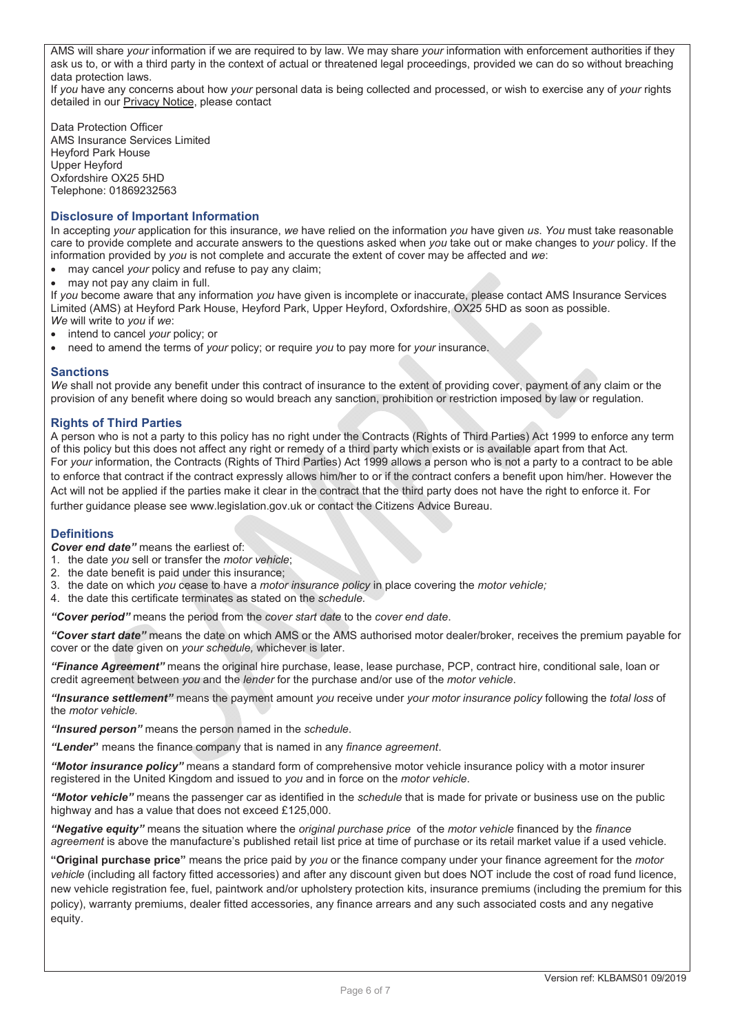AMS will share *your* information if we are required to by law. We may share *your* information with enforcement authorities if they ask us to, or with a third party in the context of actual or threatened legal proceedings, provided we can do so without breaching data protection laws.

If *you* have any concerns about how *your* personal data is being collected and processed, or wish to exercise any of *your* rights detailed in our Privacy Notice, please contact

Data Protection Officer AMS Insurance Services Limited Heyford Park House Upper Heyford Oxfordshire OX25 5HD Telephone: 01869232563

## **Disclosure of Important Information**

In accepting *your* application for this insurance, *we* have relied on the information *you* have given *us*. *You* must take reasonable care to provide complete and accurate answers to the questions asked when *you* take out or make changes to *your* policy. If the information provided by *you* is not complete and accurate the extent of cover may be affected and *we*:

- may cancel *your* policy and refuse to pay any claim;
- may not pay any claim in full.

If *you* become aware that any information *you* have given is incomplete or inaccurate, please contact AMS Insurance Services Limited (AMS) at Heyford Park House, Heyford Park, Upper Heyford, Oxfordshire, OX25 5HD as soon as possible. *We* will write to *you* if *we*:

- x intend to cancel *your* policy; or
- x need to amend the terms of *your* policy; or require *you* to pay more for *your* insurance.

## **Sanctions**

*We* shall not provide any benefit under this contract of insurance to the extent of providing cover, payment of any claim or the provision of any benefit where doing so would breach any sanction, prohibition or restriction imposed by law or regulation.

## **Rights of Third Parties**

A person who is not a party to this policy has no right under the Contracts (Rights of Third Parties) Act 1999 to enforce any term of this policy but this does not affect any right or remedy of a third party which exists or is available apart from that Act. For *your* information, the Contracts (Rights of Third Parties) Act 1999 allows a person who is not a party to a contract to be able to enforce that contract if the contract expressly allows him/her to or if the contract confers a benefit upon him/her. However the Act will not be applied if the parties make it clear in the contract that the third party does not have the right to enforce it. For further guidance please see www.legislation.gov.uk or contact the Citizens Advice Bureau.

## **Definitions**

*Cover end date"* means the earliest of:

- 1. the date *you* sell or transfer the *motor vehicle*;
- 2. the date benefit is paid under this insurance;
- 3. the date on which *you* cease to have a *motor insurance policy* in place covering the *motor vehicle;*
- 4. the date this certificate terminates as stated on the *schedule.*

*"Cover period"* means the period from the *cover start date* to the *cover end date*.

*"Cover start date"* means the date on which AMS or the AMS authorised motor dealer/broker, receives the premium payable for cover or the date given on *your schedule,* whichever is later.

*"Finance Agreement"* means the original hire purchase, lease, lease purchase, PCP, contract hire, conditional sale, loan or credit agreement between *you* and the *lender* for the purchase and/or use of the *motor vehicle*.

"Insurance settlement" means the payment amount you receive under your motor insurance policy following the total loss of the *motor* vehicle.

*"Insured person"* means the person named in the *schedule*.

*"Lender***"** means the finance company that is named in any *finance agreement*.

*"Motor insurance policy"* means a standard form of comprehensive motor vehicle insurance policy with a motor insurer registered in the United Kingdom and issued to *you* and in force on the *motor vehicle*.

*"Motor vehicle"* means the passenger car as identified in the *schedule* that is made for private or business use on the public highway and has a value that does not exceed £125,000.

*"Negative equity"* means the situation where the *original purchase price* of the *motor vehicle* financed by the *finance agreement* is above the manufacture's published retail list price at time of purchase or its retail market value if a used vehicle.

**"Original purchase price"** means the price paid by *you* or the finance company under your finance agreement for the *motor vehicle* (including all factory fitted accessories) and after any discount given but does NOT include the cost of road fund licence, new vehicle registration fee, fuel, paintwork and/or upholstery protection kits, insurance premiums (including the premium for this policy), warranty premiums, dealer fitted accessories, any finance arrears and any such associated costs and any negative equity.